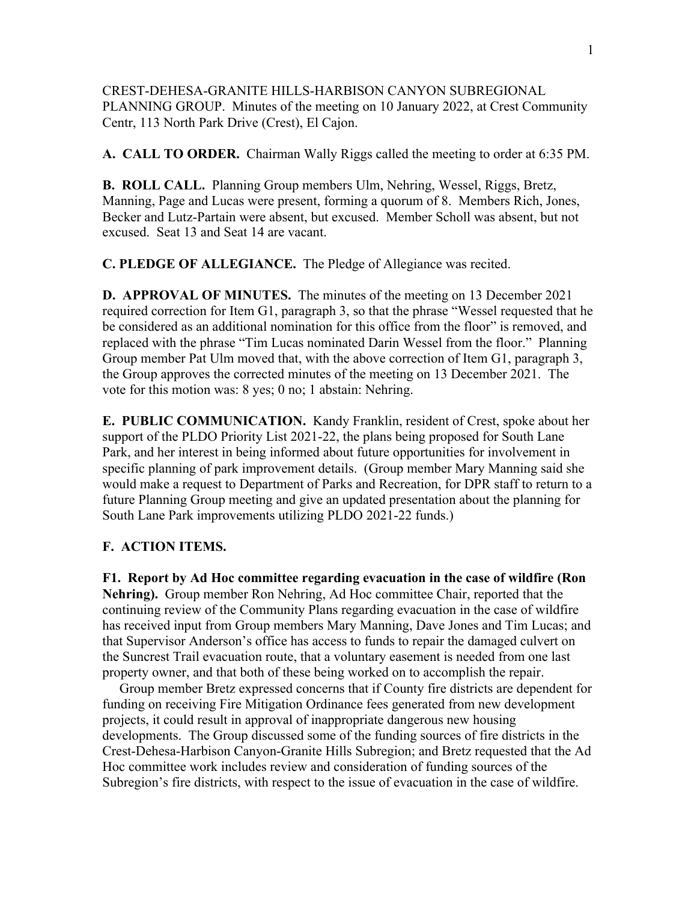CREST-DEHESA-GRANITE HILLS-HARBISON CANYON SUBREGIONAL PLANNING GROUP. Minutes of the meeting on 10 January 2022, at Crest Community Centr, 113 North Park Drive (Crest), El Cajon.

**A. CALL TO ORDER.** Chairman Wally Riggs called the meeting to order at 6:35 PM.

**B. ROLL CALL.** Planning Group members Ulm, Nehring, Wessel, Riggs, Bretz, Manning, Page and Lucas were present, forming a quorum of 8. Members Rich, Jones, Becker and Lutz-Partain were absent, but excused. Member Scholl was absent, but not excused. Seat 13 and Seat 14 are vacant.

**C. PLEDGE OF ALLEGIANCE.** The Pledge of Allegiance was recited.

**D. APPROVAL OF MINUTES.** The minutes of the meeting on 13 December 2021 required correction for Item G1, paragraph 3, so that the phrase "Wessel requested that he be considered as an additional nomination for this office from the floor" is removed, and replaced with the phrase "Tim Lucas nominated Darin Wessel from the floor." Planning Group member Pat Ulm moved that, with the above correction of Item G1, paragraph 3, the Group approves the corrected minutes of the meeting on 13 December 2021. The vote for this motion was: 8 yes; 0 no; 1 abstain: Nehring.

**E. PUBLIC COMMUNICATION.** Kandy Franklin, resident of Crest, spoke about her support of the PLDO Priority List 2021-22, the plans being proposed for South Lane Park, and her interest in being informed about future opportunities for involvement in specific planning of park improvement details. (Group member Mary Manning said she would make a request to Department of Parks and Recreation, for DPR staff to return to a future Planning Group meeting and give an updated presentation about the planning for South Lane Park improvements utilizing PLDO 2021-22 funds.)

## **F. ACTION ITEMS.**

**F1. Report by Ad Hoc committee regarding evacuation in the case of wildfire (Ron Nehring).** Group member Ron Nehring, Ad Hoc committee Chair, reported that the continuing review of the Community Plans regarding evacuation in the case of wildfire has received input from Group members Mary Manning, Dave Jones and Tim Lucas; and that Supervisor Anderson's office has access to funds to repair the damaged culvert on the Suncrest Trail evacuation route, that a voluntary easement is needed from one last property owner, and that both of these being worked on to accomplish the repair.

 Group member Bretz expressed concerns that if County fire districts are dependent for funding on receiving Fire Mitigation Ordinance fees generated from new development projects, it could result in approval of inappropriate dangerous new housing developments. The Group discussed some of the funding sources of fire districts in the Crest-Dehesa-Harbison Canyon-Granite Hills Subregion; and Bretz requested that the Ad Hoc committee work includes review and consideration of funding sources of the Subregion's fire districts, with respect to the issue of evacuation in the case of wildfire.